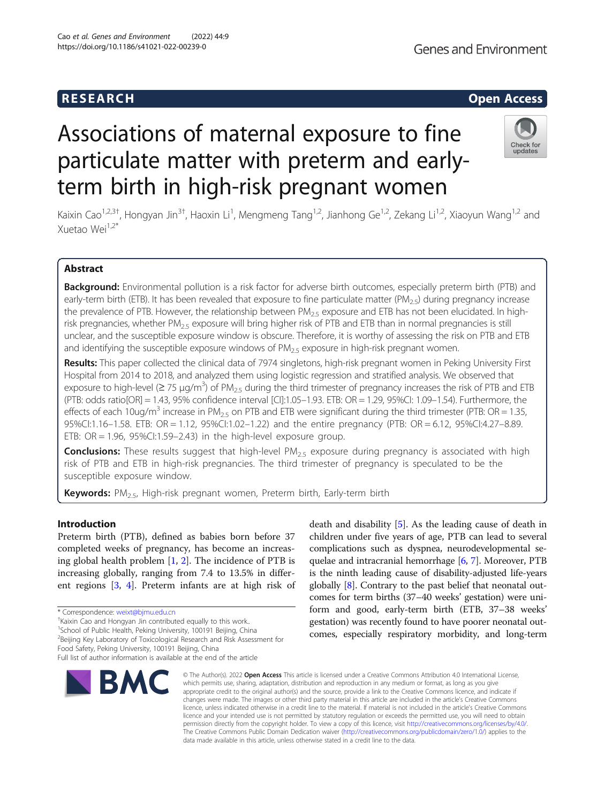# **Genes and Environment**

# **RESEARCH RESEARCH CONSUMING ACCESS**

# Associations of maternal exposure to fine particulate matter with preterm and earlyterm birth in high-risk pregnant women



Kaixin Cao<sup>1,2,3†</sup>, Hongyan Jin<sup>3†</sup>, Haoxin Li<sup>1</sup>, Mengmeng Tang<sup>1,2</sup>, Jianhong Ge<sup>1,2</sup>, Zekang Li<sup>1,2</sup>, Xiaoyun Wang<sup>1,2</sup> and Xuetao Wei1,2\*

## Abstract

Background: Environmental pollution is a risk factor for adverse birth outcomes, especially preterm birth (PTB) and early-term birth (ETB). It has been revealed that exposure to fine particulate matter ( $PM_{2.5}$ ) during pregnancy increase the prevalence of PTB. However, the relationship between  $PM_{2.5}$  exposure and ETB has not been elucidated. In highrisk pregnancies, whether PM<sub>2.5</sub> exposure will bring higher risk of PTB and ETB than in normal pregnancies is still unclear, and the susceptible exposure window is obscure. Therefore, it is worthy of assessing the risk on PTB and ETB and identifying the susceptible exposure windows of  $PM<sub>2.5</sub>$  exposure in high-risk pregnant women.

Results: This paper collected the clinical data of 7974 singletons, high-risk pregnant women in Peking University First Hospital from 2014 to 2018, and analyzed them using logistic regression and stratified analysis. We observed that exposure to high-level ( $\geq$  75  $\mu$ g/m<sup>3</sup>) of PM<sub>2.5</sub> during the third trimester of pregnancy increases the risk of PTB and ETB (PTB: odds ratio[OR] = 1.43, 95% confidence interval [CI]:1.05–1.93. ETB: OR = 1.29, 95%CI: 1.09–1.54). Furthermore, the effects of each 10ug/m<sup>3</sup> increase in PM<sub>2.5</sub> on PTB and ETB were significant during the third trimester (PTB: OR = 1.35, 95%CI:1.16–1.58. ETB: OR = 1.12, 95%CI:1.02–1.22) and the entire pregnancy (PTB: OR = 6.12, 95%CI:4.27–8.89. ETB:  $OR = 1.96$ ,  $95\%$ CI:1.59-2.43) in the high-level exposure group.

Conclusions: These results suggest that high-level PM<sub>2.5</sub> exposure during pregnancy is associated with high risk of PTB and ETB in high-risk pregnancies. The third trimester of pregnancy is speculated to be the susceptible exposure window.

Keywords: PM<sub>2.5</sub>, High-risk pregnant women, Preterm birth, Early-term birth

#### Introduction

Preterm birth (PTB), defined as babies born before 37 completed weeks of pregnancy, has become an increasing global health problem [\[1](#page-6-0), [2](#page-6-0)]. The incidence of PTB is increasing globally, ranging from 7.4 to 13.5% in different regions [\[3](#page-6-0), [4](#page-6-0)]. Preterm infants are at high risk of

<sup>1</sup>School of Public Health, Peking University, 100191 Beijing, China <sup>2</sup> Beijing Key Laboratory of Toxicological Research and Risk Assessment for

Full list of author information is available at the end of the article



death and disability [[5\]](#page-6-0). As the leading cause of death in children under five years of age, PTB can lead to several complications such as dyspnea, neurodevelopmental sequelae and intracranial hemorrhage [[6,](#page-6-0) [7\]](#page-6-0). Moreover, PTB is the ninth leading cause of disability-adjusted life-years globally [[8\]](#page-6-0). Contrary to the past belief that neonatal outcomes for term births (37–40 weeks' gestation) were uniform and good, early-term birth (ETB, 37–38 weeks' gestation) was recently found to have poorer neonatal outcomes, especially respiratory morbidity, and long-term

© The Author(s), 2022 **Open Access** This article is licensed under a Creative Commons Attribution 4.0 International License, which permits use, sharing, adaptation, distribution and reproduction in any medium or format, as long as you give appropriate credit to the original author(s) and the source, provide a link to the Creative Commons licence, and indicate if changes were made. The images or other third party material in this article are included in the article's Creative Commons licence, unless indicated otherwise in a credit line to the material. If material is not included in the article's Creative Commons licence and your intended use is not permitted by statutory regulation or exceeds the permitted use, you will need to obtain permission directly from the copyright holder. To view a copy of this licence, visit [http://creativecommons.org/licenses/by/4.0/.](http://creativecommons.org/licenses/by/4.0/) The Creative Commons Public Domain Dedication waiver [\(http://creativecommons.org/publicdomain/zero/1.0/](http://creativecommons.org/publicdomain/zero/1.0/)) applies to the data made available in this article, unless otherwise stated in a credit line to the data.

<sup>\*</sup> Correspondence: [weixt@bjmu.edu.cn](mailto:weixt@bjmu.edu.cn) †

<sup>&</sup>lt;sup>+</sup>Kaixin Cao and Hongyan Jin contributed equally to this work..

Food Safety, Peking University, 100191 Beijing, China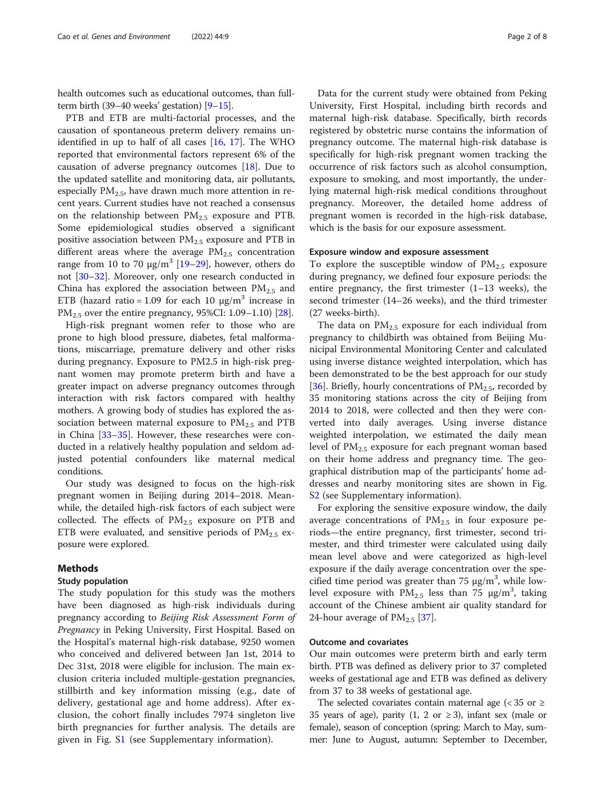health outcomes such as educational outcomes, than fullterm birth (39–40 weeks' gestation)  $[9-15]$  $[9-15]$  $[9-15]$ .

PTB and ETB are multi-factorial processes, and the causation of spontaneous preterm delivery remains unidentified in up to half of all cases [\[16,](#page-6-0) [17\]](#page-6-0). The WHO reported that environmental factors represent 6% of the causation of adverse pregnancy outcomes [\[18\]](#page-6-0). Due to the updated satellite and monitoring data, air pollutants, especially  $PM_{2.5}$ , have drawn much more attention in recent years. Current studies have not reached a consensus on the relationship between  $PM_{2.5}$  exposure and PTB. Some epidemiological studies observed a significant positive association between  $PM_{2.5}$  exposure and PTB in different areas where the average  $PM_{2.5}$  concentration range from 10 to 70  $\mu$ g/m<sup>3</sup> [[19](#page-6-0)–[29](#page-7-0)], however, others do not [\[30](#page-7-0)–[32\]](#page-7-0). Moreover, only one research conducted in China has explored the association between  $PM_{2.5}$  and ETB (hazard ratio = 1.09 for each 10  $\mu$ g/m<sup>3</sup> increase in  $PM_{2.5}$  over the entire pregnancy, 95%CI: 1.09–1.10) [[28\]](#page-7-0).

High-risk pregnant women refer to those who are prone to high blood pressure, diabetes, fetal malformations, miscarriage, premature delivery and other risks during pregnancy. Exposure to PM2.5 in high-risk pregnant women may promote preterm birth and have a greater impact on adverse pregnancy outcomes through interaction with risk factors compared with healthy mothers. A growing body of studies has explored the association between maternal exposure to  $PM_{2.5}$  and PTB in China [\[33](#page-7-0)–[35\]](#page-7-0). However, these researches were conducted in a relatively healthy population and seldom adjusted potential confounders like maternal medical conditions.

Our study was designed to focus on the high-risk pregnant women in Beijing during 2014–2018. Meanwhile, the detailed high-risk factors of each subject were collected. The effects of  $PM_{2.5}$  exposure on PTB and ETB were evaluated, and sensitive periods of  $PM_{2.5}$  exposure were explored.

#### Methods

#### Study population

The study population for this study was the mothers have been diagnosed as high-risk individuals during pregnancy according to Beijing Risk Assessment Form of Pregnancy in Peking University, First Hospital. Based on the Hospital's maternal high-risk database, 9250 women who conceived and delivered between Jan 1st, 2014 to Dec 31st, 2018 were eligible for inclusion. The main exclusion criteria included multiple-gestation pregnancies, stillbirth and key information missing (e.g., date of delivery, gestational age and home address). After exclusion, the cohort finally includes 7974 singleton live birth pregnancies for further analysis. The details are given in Fig. S[1](#page-6-0) (see Supplementary information).

Data for the current study were obtained from Peking University, First Hospital, including birth records and maternal high-risk database. Specifically, birth records registered by obstetric nurse contains the information of pregnancy outcome. The maternal high-risk database is specifically for high-risk pregnant women tracking the occurrence of risk factors such as alcohol consumption, exposure to smoking, and most importantly, the underlying maternal high-risk medical conditions throughout pregnancy. Moreover, the detailed home address of pregnant women is recorded in the high-risk database, which is the basis for our exposure assessment.

#### Exposure window and exposure assessment

To explore the susceptible window of  $PM_{2.5}$  exposure during pregnancy, we defined four exposure periods: the entire pregnancy, the first trimester (1–13 weeks), the second trimester (14–26 weeks), and the third trimester (27 weeks-birth).

The data on  $PM<sub>2.5</sub>$  exposure for each individual from pregnancy to childbirth was obtained from Beijing Municipal Environmental Monitoring Center and calculated using inverse distance weighted interpolation, which has been demonstrated to be the best approach for our study [[36\]](#page-7-0). Briefly, hourly concentrations of  $PM_{2.5}$ , recorded by 35 monitoring stations across the city of Beijing from 2014 to 2018, were collected and then they were converted into daily averages. Using inverse distance weighted interpolation, we estimated the daily mean level of  $PM_{2.5}$  exposure for each pregnant woman based on their home address and pregnancy time. The geographical distribution map of the participants' home addresses and nearby monitoring sites are shown in Fig. S[2](#page-6-0) (see Supplementary information).

For exploring the sensitive exposure window, the daily average concentrations of  $PM_{2.5}$  in four exposure periods—the entire pregnancy, first trimester, second trimester, and third trimester were calculated using daily mean level above and were categorized as high-level exposure if the daily average concentration over the specified time period was greater than 75  $\mu$ g/m<sup>3</sup>, while lowlevel exposure with  $PM_{2.5}$  less than 75  $\mu$ g/m<sup>3</sup>, taking account of the Chinese ambient air quality standard for 24-hour average of  $PM_{2.5}$  [[37](#page-7-0)].

#### Outcome and covariates

Our main outcomes were preterm birth and early term birth. PTB was defined as delivery prior to 37 completed weeks of gestational age and ETB was defined as delivery from 37 to 38 weeks of gestational age.

The selected covariates contain maternal age ( $<$  35 or  $\geq$ 35 years of age), parity (1, 2 or  $\geq$  3), infant sex (male or female), season of conception (spring: March to May, summer: June to August, autumn: September to December,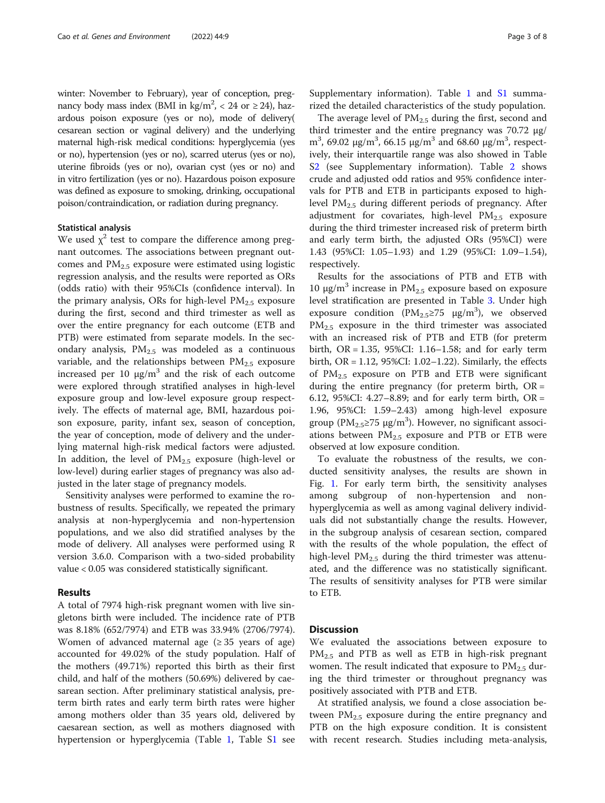winter: November to February), year of conception, pregnancy body mass index (BMI in  $\text{kg/m}^2$ , < 24 or  $\geq$  24), hazardous poison exposure (yes or no), mode of delivery( cesarean section or vaginal delivery) and the underlying maternal high-risk medical conditions: hyperglycemia (yes or no), hypertension (yes or no), scarred uterus (yes or no), uterine fibroids (yes or no), ovarian cyst (yes or no) and in vitro fertilization (yes or no). Hazardous poison exposure was defined as exposure to smoking, drinking, occupational poison/contraindication, or radiation during pregnancy.

### Statistical analysis

We used  $\chi^2$  test to compare the difference among pregnant outcomes. The associations between pregnant outcomes and  $PM_{2.5}$  exposure were estimated using logistic regression analysis, and the results were reported as ORs (odds ratio) with their 95%CIs (confidence interval). In the primary analysis, ORs for high-level  $PM_{2.5}$  exposure during the first, second and third trimester as well as over the entire pregnancy for each outcome (ETB and PTB) were estimated from separate models. In the secondary analysis,  $PM_{2.5}$  was modeled as a continuous variable, and the relationships between  $PM<sub>2.5</sub>$  exposure increased per 10  $\mu$ g/m<sup>3</sup> and the risk of each outcome were explored through stratified analyses in high-level exposure group and low-level exposure group respectively. The effects of maternal age, BMI, hazardous poison exposure, parity, infant sex, season of conception, the year of conception, mode of delivery and the underlying maternal high-risk medical factors were adjusted. In addition, the level of  $PM_{2.5}$  exposure (high-level or low-level) during earlier stages of pregnancy was also adjusted in the later stage of pregnancy models.

Sensitivity analyses were performed to examine the robustness of results. Specifically, we repeated the primary analysis at non-hyperglycemia and non-hypertension populations, and we also did stratified analyses by the mode of delivery. All analyses were performed using R version 3.6.0. Comparison with a two-sided probability value < 0.05 was considered statistically significant.

#### Results

A total of 7974 high-risk pregnant women with live singletons birth were included. The incidence rate of PTB was 8.18% (652/7974) and ETB was 33.94% (2706/7974). Women of advanced maternal age  $(≥ 35$  years of age) accounted for 49.02% of the study population. Half of the mothers (49.71%) reported this birth as their first child, and half of the mothers (50.69%) delivered by caesarean section. After preliminary statistical analysis, preterm birth rates and early term birth rates were higher among mothers older than 35 years old, delivered by caesarean section, as well as mothers diagnosed with hypertension or hyperglycemia (Table [1,](#page-3-0) Table [S1](#page-6-0) see Supplementary information). Table [1](#page-3-0) and [S1](#page-6-0) summarized the detailed characteristics of the study population.

The average level of  $PM_{2.5}$  during the first, second and third trimester and the entire pregnancy was 70.72 µg/ m<sup>3</sup>, 69.02  $\mu$ g/m<sup>3</sup>, 66.15  $\mu$ g/m<sup>3</sup> and 68.60  $\mu$ g/m<sup>3</sup>, respectively, their interquartile range was also showed in Table S[2](#page-6-0) (see Supplementary information). Table [2](#page-4-0) shows crude and adjusted odd ratios and 95% confidence intervals for PTB and ETB in participants exposed to highlevel  $PM_{2.5}$  during different periods of pregnancy. After adjustment for covariates, high-level  $PM_{2.5}$  exposure during the third trimester increased risk of preterm birth and early term birth, the adjusted ORs (95%CI) were 1.43 (95%CI: 1.05–1.93) and 1.29 (95%CI: 1.09–1.54), respectively.

Results for the associations of PTB and ETB with 10  $\mu$ g/m<sup>3</sup> increase in PM<sub>2.5</sub> exposure based on exposure level stratification are presented in Table [3](#page-4-0). Under high exposure condition ( $PM_{2.5} \ge 75$  µg/m<sup>3</sup>), we observed  $PM_{2.5}$  exposure in the third trimester was associated with an increased risk of PTB and ETB (for preterm birth, OR = 1.35, 95%CI: 1.16–1.58; and for early term birth, OR = 1.12, 95%CI: 1.02–1.22). Similarly, the effects of  $PM_{2,5}$  exposure on PTB and ETB were significant during the entire pregnancy (for preterm birth,  $OR =$ 6.12, 95%CI: 4.27–8.89; and for early term birth,  $OR =$ 1.96, 95%CI: 1.59–2.43) among high-level exposure group ( $PM_{2.5} \ge 75$  µg/m<sup>3</sup>). However, no significant associations between  $PM<sub>2.5</sub>$  exposure and PTB or ETB were observed at low exposure condition.

To evaluate the robustness of the results, we conducted sensitivity analyses, the results are shown in Fig. [1.](#page-5-0) For early term birth, the sensitivity analyses among subgroup of non-hypertension and nonhyperglycemia as well as among vaginal delivery individuals did not substantially change the results. However, in the subgroup analysis of cesarean section, compared with the results of the whole population, the effect of high-level  $PM_{2.5}$  during the third trimester was attenuated, and the difference was no statistically significant. The results of sensitivity analyses for PTB were similar to ETB.

#### **Discussion**

We evaluated the associations between exposure to  $PM_{2.5}$  and PTB as well as ETB in high-risk pregnant women. The result indicated that exposure to  $PM_{2.5}$  during the third trimester or throughout pregnancy was positively associated with PTB and ETB.

At stratified analysis, we found a close association between  $PM_{2.5}$  exposure during the entire pregnancy and PTB on the high exposure condition. It is consistent with recent research. Studies including meta-analysis,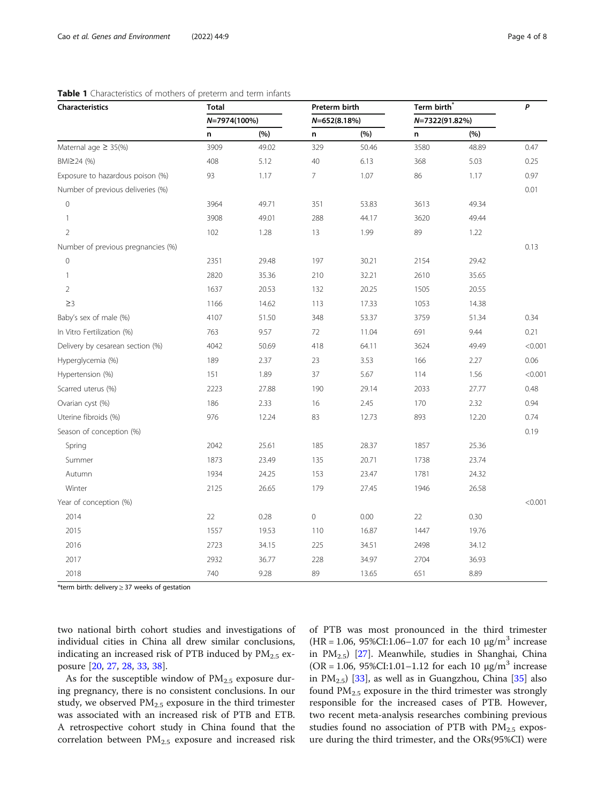| Characteristics                    | <b>Total</b> |       | Preterm birth    |       | Term birth     |       | $\pmb{P}$ |
|------------------------------------|--------------|-------|------------------|-------|----------------|-------|-----------|
|                                    | N=7974(100%) |       | $N = 652(8.18%)$ |       | N=7322(91.82%) |       |           |
|                                    | n            | (%)   | n                | (%)   | n              | (%)   |           |
| Maternal age $\geq$ 35(%)          | 3909         | 49.02 | 329              | 50.46 | 3580           | 48.89 | 0.47      |
| BMI≥24 (%)                         | 408          | 5.12  | 40               | 6.13  | 368            | 5.03  | 0.25      |
| Exposure to hazardous poison (%)   | 93           | 1.17  | $\overline{7}$   | 1.07  | 86             | 1.17  | 0.97      |
| Number of previous deliveries (%)  |              |       |                  |       |                |       | 0.01      |
| $\mathsf{O}\xspace$                | 3964         | 49.71 | 351              | 53.83 | 3613           | 49.34 |           |
| 1                                  | 3908         | 49.01 | 288              | 44.17 | 3620           | 49.44 |           |
| $\overline{2}$                     | 102          | 1.28  | 13               | 1.99  | 89             | 1.22  |           |
| Number of previous pregnancies (%) |              |       |                  |       |                |       | 0.13      |
| $\mathbb O$                        | 2351         | 29.48 | 197              | 30.21 | 2154           | 29.42 |           |
| $\mathbf{1}$                       | 2820         | 35.36 | 210              | 32.21 | 2610           | 35.65 |           |
| $\overline{2}$                     | 1637         | 20.53 | 132              | 20.25 | 1505           | 20.55 |           |
| $\geq$ 3                           | 1166         | 14.62 | 113              | 17.33 | 1053           | 14.38 |           |
| Baby's sex of male (%)             | 4107         | 51.50 | 348              | 53.37 | 3759           | 51.34 | 0.34      |
| In Vitro Fertilization (%)         | 763          | 9.57  | 72               | 11.04 | 691            | 9.44  | 0.21      |
| Delivery by cesarean section (%)   | 4042         | 50.69 | 418              | 64.11 | 3624           | 49.49 | < 0.001   |
| Hyperglycemia (%)                  | 189          | 2.37  | 23               | 3.53  | 166            | 2.27  | 0.06      |
| Hypertension (%)                   | 151          | 1.89  | 37               | 5.67  | 114            | 1.56  | < 0.001   |
| Scarred uterus (%)                 | 2223         | 27.88 | 190              | 29.14 | 2033           | 27.77 | 0.48      |
| Ovarian cyst (%)                   | 186          | 2.33  | 16               | 2.45  | 170            | 2.32  | 0.94      |
| Uterine fibroids (%)               | 976          | 12.24 | 83               | 12.73 | 893            | 12.20 | 0.74      |
| Season of conception (%)           |              |       |                  |       |                |       | 0.19      |
| Spring                             | 2042         | 25.61 | 185              | 28.37 | 1857           | 25.36 |           |
| Summer                             | 1873         | 23.49 | 135              | 20.71 | 1738           | 23.74 |           |
| Autumn                             | 1934         | 24.25 | 153              | 23.47 | 1781           | 24.32 |           |
| Winter                             | 2125         | 26.65 | 179              | 27.45 | 1946           | 26.58 |           |
| Year of conception (%)             |              |       |                  |       |                |       | < 0.001   |
| 2014                               | 22           | 0.28  | $\mathbf 0$      | 0.00  | 22             | 0.30  |           |
| 2015                               | 1557         | 19.53 | 110              | 16.87 | 1447           | 19.76 |           |
| 2016                               | 2723         | 34.15 | 225              | 34.51 | 2498           | 34.12 |           |
| 2017                               | 2932         | 36.77 | 228              | 34.97 | 2704           | 36.93 |           |
| 2018                               | 740          | 9.28  | 89               | 13.65 | 651            | 8.89  |           |

#### <span id="page-3-0"></span>Table 1 Characteristics of mothers of preterm and term infants

\*term birth: delivery ≥ 37 weeks of gestation

two national birth cohort studies and investigations of individual cities in China all drew similar conclusions, indicating an increased risk of PTB induced by  $PM_{2.5}$  exposure [\[20](#page-6-0), [27](#page-7-0), [28,](#page-7-0) [33,](#page-7-0) [38\]](#page-7-0).

As for the susceptible window of  $PM_{2.5}$  exposure during pregnancy, there is no consistent conclusions. In our study, we observed  $PM_{2.5}$  exposure in the third trimester was associated with an increased risk of PTB and ETB. A retrospective cohort study in China found that the correlation between  $PM_{2.5}$  exposure and increased risk of PTB was most pronounced in the third trimester  $(HR = 1.06, 95\% CI: 1.06 - 1.07$  for each 10  $\mu$ g/m<sup>3</sup> increase in PM<sub>2.5</sub>) [\[27](#page-7-0)]. Meanwhile, studies in Shanghai, China (OR = 1.06, 95%CI:1.01–1.12 for each 10  $\mu$ g/m<sup>3</sup> increase in  $PM_{2.5}$ ) [[33](#page-7-0)], as well as in Guangzhou, China [\[35](#page-7-0)] also found  $PM_{2.5}$  exposure in the third trimester was strongly responsible for the increased cases of PTB. However, two recent meta-analysis researches combining previous studies found no association of PTB with  $PM_{2.5}$  exposure during the third trimester, and the ORs(95%CI) were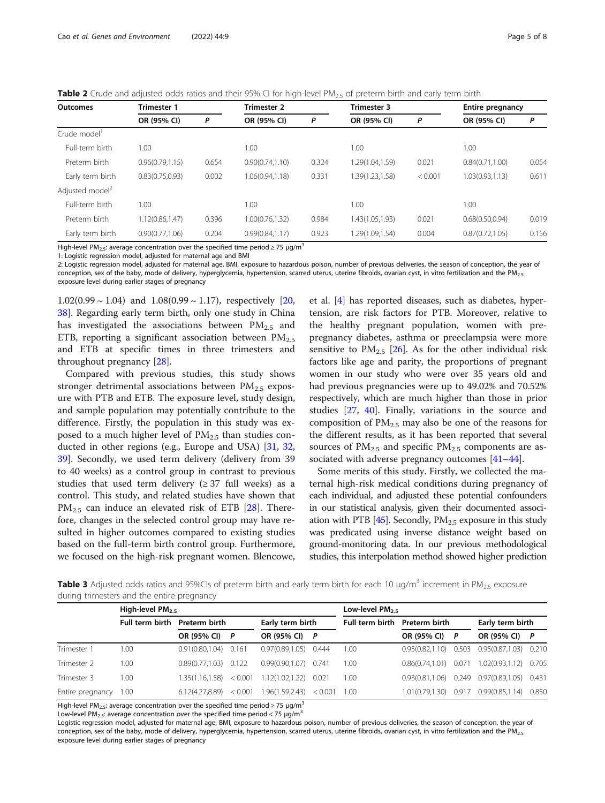<span id="page-4-0"></span>Table 2 Crude and adjusted odds ratios and their 95% CI for high-level PM<sub>2.5</sub> of preterm birth and early term birth

| Outcomes                    | <b>Trimester 1</b> |       | Trimester 2      |       | <b>Trimester 3</b> |         | <b>Entire pregnancy</b> |       |  |
|-----------------------------|--------------------|-------|------------------|-------|--------------------|---------|-------------------------|-------|--|
|                             | OR (95% CI)        | P     | OR (95% CI)      | P     | OR (95% CI)        | P       | OR (95% CI)             | P     |  |
| Crude model                 |                    |       |                  |       |                    |         |                         |       |  |
| Full-term birth             | 1.00               |       | 1.00             |       | 1.00               |         | 1.00                    |       |  |
| Preterm birth               | 0.96(0.79, 1.15)   | 0.654 | 0.90(0.74,1.10)  | 0.324 | 1.29(1.04,1.59)    | 0.021   | 0.84(0.71, 1.00)        | 0.054 |  |
| Early term birth            | 0.83(0.75, 0.93)   | 0.002 | 1.06(0.94.1.18)  | 0.331 | 1.39(1.23,1.58)    | < 0.001 | 1.03(0.93,1.13)         | 0.611 |  |
| Adjusted model <sup>2</sup> |                    |       |                  |       |                    |         |                         |       |  |
| Full-term birth             | 1.00               |       | 1.00             |       | 1.00               |         | 1.00                    |       |  |
| Preterm birth               | 1.12(0.86, 1.47)   | 0.396 | 1.00(0.76, 1.32) | 0.984 | 1.43(1.05, 1.93)   | 0.021   | 0.68(0.50.0.94)         | 0.019 |  |
| Early term birth            | 0.90(0.77, 1.06)   | 0.204 | 0.99(0.84.1.17)  | 0.923 | 1.29(1.09,1.54)    | 0.004   | 0.87(0.72.1.05)         | 0.156 |  |

High-level PM<sub>2.5</sub>: average concentration over the specified time period  $\geq$  75 µg/m<sup>3</sup>

1: Logistic regression model, adjusted for maternal age and BMI

2: Logistic regression model, adjusted for maternal age, BMI, exposure to hazardous poison, number of previous deliveries, the season of conception, the year of conception, sex of the baby, mode of delivery, hyperglycemia, hypertension, scarred uterus, uterine fibroids, ovarian cyst, in vitro fertilization and the PM<sub>2.5</sub> exposure level during earlier stages of pregnancy

 $1.02(0.99 \sim 1.04)$  and  $1.08(0.99 \sim 1.17)$ , respectively [[20](#page-6-0), [38\]](#page-7-0). Regarding early term birth, only one study in China has investigated the associations between  $PM_{2.5}$  and ETB, reporting a significant association between  $PM_{2.5}$ and ETB at specific times in three trimesters and throughout pregnancy [[28\]](#page-7-0).

Compared with previous studies, this study shows stronger detrimental associations between  $PM_{2.5}$  exposure with PTB and ETB. The exposure level, study design, and sample population may potentially contribute to the difference. Firstly, the population in this study was exposed to a much higher level of  $PM_{2.5}$  than studies conducted in other regions (e.g., Europe and USA) [[31,](#page-7-0) [32](#page-7-0), [39\]](#page-7-0). Secondly, we used term delivery (delivery from 39 to 40 weeks) as a control group in contrast to previous studies that used term delivery  $(≥ 37$  full weeks) as a control. This study, and related studies have shown that  $PM_{2.5}$  can induce an elevated risk of ETB [\[28\]](#page-7-0). Therefore, changes in the selected control group may have resulted in higher outcomes compared to existing studies based on the full-term birth control group. Furthermore, we focused on the high-risk pregnant women. Blencowe, et al. [\[4](#page-6-0)] has reported diseases, such as diabetes, hypertension, are risk factors for PTB. Moreover, relative to the healthy pregnant population, women with prepregnancy diabetes, asthma or preeclampsia were more sensitive to  $PM_{2.5}$  [[26](#page-7-0)]. As for the other individual risk factors like age and parity, the proportions of pregnant women in our study who were over 35 years old and had previous pregnancies were up to 49.02% and 70.52% respectively, which are much higher than those in prior studies [[27](#page-7-0), [40\]](#page-7-0). Finally, variations in the source and composition of  $PM_{2.5}$  may also be one of the reasons for the different results, as it has been reported that several sources of  $PM_{2.5}$  and specific  $PM_{2.5}$  components are associated with adverse pregnancy outcomes [\[41](#page-7-0)–[44\]](#page-7-0).

Some merits of this study. Firstly, we collected the maternal high-risk medical conditions during pregnancy of each individual, and adjusted these potential confounders in our statistical analysis, given their documented associ-ation with PTB [\[45\]](#page-7-0). Secondly,  $PM_{2.5}$  exposure in this study was predicated using inverse distance weight based on ground-monitoring data. In our previous methodological studies, this interpolation method showed higher prediction

**Table 3** Adjusted odds ratios and 95%CIs of preterm birth and early term birth for each 10  $\mu$ g/m<sup>3</sup> increment in PM<sub>2.5</sub> exposure during trimesters and the entire pregnancy

|                  | High-level $PM_{2.5}$ |                      |         | Low-level PM <sub>25</sub> |         |                 |                      |          |                             |  |
|------------------|-----------------------|----------------------|---------|----------------------------|---------|-----------------|----------------------|----------|-----------------------------|--|
|                  | Full term birth       | <b>Preterm birth</b> |         | Early term birth           |         | Full term birth | <b>Preterm birth</b> |          | Early term birth            |  |
|                  |                       | OR (95% CI)          | P       | OR (95% CI) P              |         |                 | OR (95% CI)          | <b>P</b> | OR (95% CI) P               |  |
| Trimester 1      | 1.00                  | 0.91(0.80, 1.04)     | 0.161   | 0.97(0.89.1.05)            | 0.444   | 1.00            | 0.95(0.82.1.10)      | 0.503    | 0.95(0.87,1.03) 0.210       |  |
| Trimester 2      | 1.00                  | 0.89(0.77.1.03)      | 0.122   | 0.99(0.90.1.07)            | 0.741   | 1.00            | 0.86(0.74.1.01)      | 0.071    | 1.02(0.93,1.12) 0.705       |  |
| Trimester 3      | 1.00                  | 1.35(1.16.1.58)      | < 0.001 | 1.12(1.02.1.22)            | 0.021   | 1.00            | 0.93(0.81, 1.06)     |          | 0.249 0.97(0.89,1.05) 0.431 |  |
| Entire pregnancy | 1.00                  | 6.12(4.27.8.89)      | < 0.001 | 1.96(1.59,2.43)            | < 0.001 | 1.00            | 1.01(0.79.1.30)      | 0.917    | $0.99(0.85, 1.14)$ 0.850    |  |

High-level PM<sub>2.5</sub>: average concentration over the specified time period  $\geq$  75 µg/m<sup>3</sup>

Low-level PM<sub>2.5</sub>: average concentration over the specified time period < 75  $\mu$ g/m<sup>3</sup>

Logistic regression model, adjusted for maternal age, BMI, exposure to hazardous poison, number of previous deliveries, the season of conception, the year of conception, sex of the baby, mode of delivery, hyperglycemia, hypertension, scarred uterus, uterine fibroids, ovarian cyst, in vitro fertilization and the PM<sub>2.5</sub> exposure level during earlier stages of pregnancy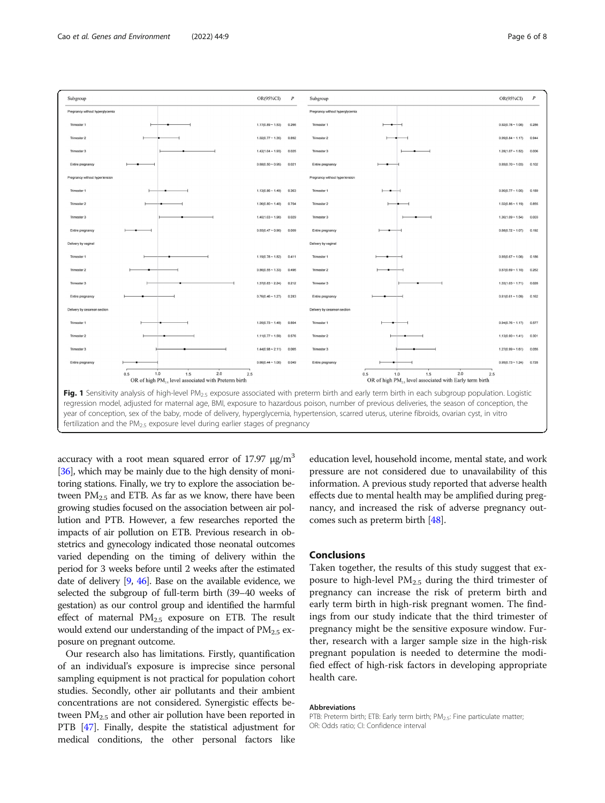<span id="page-5-0"></span>

accuracy with a root mean squared error of 17.97  $\mu$ g/m<sup>3</sup> [[36](#page-7-0)], which may be mainly due to the high density of monitoring stations. Finally, we try to explore the association between  $PM_{2.5}$  and ETB. As far as we know, there have been growing studies focused on the association between air pollution and PTB. However, a few researches reported the impacts of air pollution on ETB. Previous research in obstetrics and gynecology indicated those neonatal outcomes varied depending on the timing of delivery within the period for 3 weeks before until 2 weeks after the estimated date of delivery [[9](#page-6-0), [46](#page-7-0)]. Base on the available evidence, we selected the subgroup of full-term birth (39–40 weeks of gestation) as our control group and identified the harmful effect of maternal  $PM_{2.5}$  exposure on ETB. The result would extend our understanding of the impact of  $PM<sub>2.5</sub>$  exposure on pregnant outcome.

Our research also has limitations. Firstly, quantification of an individual's exposure is imprecise since personal sampling equipment is not practical for population cohort studies. Secondly, other air pollutants and their ambient concentrations are not considered. Synergistic effects between  $PM<sub>2.5</sub>$  and other air pollution have been reported in PTB [[47](#page-7-0)]. Finally, despite the statistical adjustment for medical conditions, the other personal factors like education level, household income, mental state, and work pressure are not considered due to unavailability of this information. A previous study reported that adverse health effects due to mental health may be amplified during pregnancy, and increased the risk of adverse pregnancy outcomes such as preterm birth [\[48](#page-7-0)].

#### Conclusions

Taken together, the results of this study suggest that exposure to high-level  $PM_{2.5}$  during the third trimester of pregnancy can increase the risk of preterm birth and early term birth in high-risk pregnant women. The findings from our study indicate that the third trimester of pregnancy might be the sensitive exposure window. Further, research with a larger sample size in the high-risk pregnant population is needed to determine the modified effect of high-risk factors in developing appropriate health care.

#### Abbreviations

PTB: Preterm birth; ETB: Early term birth; PM<sub>2.5</sub>: Fine particulate matter; OR: Odds ratio; CI: Confidence interval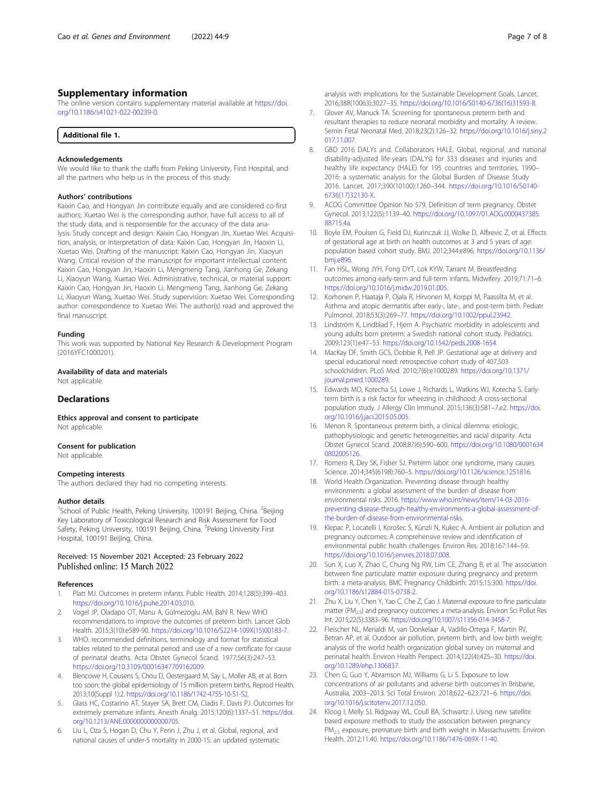#### <span id="page-6-0"></span>Supplementary information

The online version contains supplementary material available at [https://doi.](https://doi.org/10.1186/s41021-022-00239-0) [org/10.1186/s41021-022-00239-0.](https://doi.org/10.1186/s41021-022-00239-0)

#### Acknowledgements

We would like to thank the staffs from Peking University, First Hospital, and all the partners who help us in the process of this study.

#### Authors' contributions

Kaixin Cao, and Hongyan Jin contribute equally and are considered co-first authors; Xuetao Wei is the corresponding author, have full access to all of the study data, and is responsenble for the accuracy of the data analysis. Study concept and design: Kaixin Cao, Hongyan Jin, Xuetao Wei. Acquisition, analysis, or interpretation of data: Kaixin Cao, Hongyan Jin, Haoxin Li, Xuetao Wei. Drafting of the manuscript: Kaixin Cao, Hongyan Jin, Xiaoyun Wang. Critical revision of the manuscript for important intellectual content: Kaixin Cao, Hongyan Jin, Haoxin Li, Mengmeng Tang, Jianhong Ge, Zekang Li, Xiaoyun Wang, Xuetao Wei. Administrative, technical, or material support: Kaixin Cao, Hongyan Jin, Haoxin Li, Mengmeng Tang, Jianhong Ge, Zekang Li, Xiaoyun Wang, Xuetao Wei. Study supervision: Xuetao Wei. Corresponding author: correspondence to Xuetao Wei. The author(s) read and approved the final manuscript.

#### Funding

This work was supported by National Key Research & Development Program (2016YFC1000201).

# Availability of data and materials

Not applicable

#### **Declarations**

Ethics approval and consent to participate Not applicable.

#### Consent for publication

Not applicable.

#### Competing interests

The authors declared they had no competing interests.

#### Author details

<sup>1</sup>School of Public Health, Peking University, 100191 Beijing, China. <sup>2</sup>Beijing Key Laboratory of Toxicological Research and Risk Assessment for Food Safety, Peking University, 100191 Beijing, China. <sup>3</sup>Peking University First Hospital, 100191 Beijing, China.

#### Received: 15 November 2021 Accepted: 23 February 2022 Published online: 15 March 2022

#### References

- Platt MJ. Outcomes in preterm infants. Public Health. 2014;128(5):399-403. [https://doi.org/10.1016/j.puhe.2014.03.010.](https://doi.org/10.1016/j.puhe.2014.03.010)
- 2. Vogel JP, Oladapo OT, Manu A, Gülmezoglu AM, Bahl R. New WHO recommendations to improve the outcomes of preterm birth. Lancet Glob Health. 2015;3(10):e589-90. [https://doi.org/10.1016/S2214-109X\(15\)00183-7.](https://doi.org/10.1016/S2214-109X(15)00183-7)
- 3. WHO. recommended definitions, terminology and format for statistical tables related to the perinatal period and use of a new certificate for cause of perinatal deaths. Acta Obstet Gynecol Scand. 1977;56(3):247–53. [https://doi.org/10.3109/00016347709162009.](https://doi.org/10.3109/00016347709162009)
- 4. Blencowe H, Cousens S, Chou D, Oestergaard M, Say L, Moller AB, et al. Born too soon: the global epidemiology of 15 million preterm births. Reprod Health. 2013;10(Suppl 1):2. [https://doi.org/10.1186/1742-4755-10-S1-S2.](https://doi.org/10.1186/1742-4755-10-S1-S2)
- Glass HC, Costarino AT, Stayer SA, Brett CM, Cladis F, Davis PJ. Outcomes for extremely premature infants. Anesth Analg. 2015;120(6):1337–51. [https://doi.](https://doi.org/10.1213/ANE.0000000000000705) [org/10.1213/ANE.0000000000000705.](https://doi.org/10.1213/ANE.0000000000000705)
- Liu L, Oza S, Hogan D, Chu Y, Perin J, Zhu J, et al. Global, regional, and national causes of under-5 mortality in 2000-15: an updated systematic
- 7. Glover AV, Manuck TA. Screening for spontaneous preterm birth and resultant therapies to reduce neonatal morbidity and mortality: A review. Semin Fetal Neonatal Med. 2018;23(2):126–32. [https://doi.org/10.1016/j.siny.2](https://doi.org/10.1016/j.siny.2017.11.007) [017.11.007](https://doi.org/10.1016/j.siny.2017.11.007).
- 8. GBD 2016 DALYs and. Collaborators HALE. Global, regional, and national disability-adjusted life-years (DALYs) for 333 diseases and injuries and healthy life expectancy (HALE) for 195 countries and territories, 1990– 2016: a systematic analysis for the Global Burden of Disease Study 2016. Lancet. 2017;390(10100):1260–344. [https://doi.org/10.1016/S0140-](https://doi.org/10.1016/S0140-6736(17)32130-X) [6736\(17\)32130-X](https://doi.org/10.1016/S0140-6736(17)32130-X).
- 9. ACOG Committee Opinion No 579. Definition of term pregnancy. Obstet Gynecol. 2013;122(5):1139–40. [https://doi.org/10.1097/01.AOG.0000437385.](https://doi.org/10.1097/01.AOG.0000437385.88715.4a) [88715.4a.](https://doi.org/10.1097/01.AOG.0000437385.88715.4a)
- 10. Boyle EM, Poulsen G, Field DJ, Kurinczuk JJ, Wolke D, Alfirevic Z, et al. Effects of gestational age at birth on health outcomes at 3 and 5 years of age: population based cohort study. BMJ. 2012;344:e896. [https://doi.org/10.1136/](https://doi.org/10.1136/bmj.e896) [bmj.e896.](https://doi.org/10.1136/bmj.e896)
- 11. Fan HSL, Wong JYH, Fong DYT, Lok KYW, Tarrant M. Breastfeeding outcomes among early-term and full-term infants. Midwifery. 2019;71:71–6. <https://doi.org/10.1016/j.midw.2019.01.005>.
- 12. Korhonen P, Haataja P, Ojala R, Hirvonen M, Korppi M, Paassilta M, et al. Asthma and atopic dermatitis after early-, late-, and post-term birth. Pediatr Pulmonol. 2018;53(3):269–77. [https://doi.org/10.1002/ppul.23942.](https://doi.org/10.1002/ppul.23942)
- 13. Lindström K, Lindblad F, Hjern A. Psychiatric morbidity in adolescents and young adults born preterm: a Swedish national cohort study. Pediatrics. 2009;123(1):e47–53. [https://doi.org/10.1542/peds.2008-1654.](https://doi.org/10.1542/peds.2008-1654)
- 14. MacKay DF, Smith GCS, Dobbie R, Pell JP. Gestational age at delivery and special educational need: retrospective cohort study of 407,503 schoolchildren. PLoS Med. 2010;7(6):e1000289. [https://doi.org/10.1371/](https://doi.org/10.1371/journal.pmed.1000289) [journal.pmed.1000289](https://doi.org/10.1371/journal.pmed.1000289)
- 15. Edwards MO, Kotecha SJ, Lowe J, Richards L, Watkins WJ, Kotecha S. Earlyterm birth is a risk factor for wheezing in childhood: A cross-sectional population study. J Allergy Clin Immunol. 2015;136(3):581–7.e2. [https://doi.](https://doi.org/10.1016/j.jaci.2015.05.005) [org/10.1016/j.jaci.2015.05.005](https://doi.org/10.1016/j.jaci.2015.05.005).
- 16. Menon R. Spontaneous preterm birth, a clinical dilemma: etiologic, pathophysiologic and genetic heterogeneities and racial disparity. Acta Obstet Gynecol Scand. 2008;87(6):590–600. [https://doi.org/10.1080/0001634](https://doi.org/10.1080/00016340802005126) [0802005126.](https://doi.org/10.1080/00016340802005126)
- 17. Romero R, Dey SK, Fisher SJ. Preterm labor: one syndrome, many causes. Science. 2014;345(6198):760–5. <https://doi.org/10.1126/science.1251816>.
- 18. World Health Organization. Preventing disease through healthy environments: a global assessment of the burden of disease from environmental risks. 2016. [https://www.who.int/news/item/14-03-2016](https://www.who.int/news/item/14-03-2016-preventing-disease-through-healthy-environments-a-global-assessment-of-the-burden-of-disease-from-environmental-risks) [preventing-disease-through-healthy-environments-a-global-assessment-of](https://www.who.int/news/item/14-03-2016-preventing-disease-through-healthy-environments-a-global-assessment-of-the-burden-of-disease-from-environmental-risks)[the-burden-of-disease-from-environmental-risks.](https://www.who.int/news/item/14-03-2016-preventing-disease-through-healthy-environments-a-global-assessment-of-the-burden-of-disease-from-environmental-risks)
- 19. Klepac P, Locatelli I, Korošec S, Künzli N, Kukec A. Ambient air pollution and pregnancy outcomes: A comprehensive review and identification of environmental public health challenges. Environ Res. 2018;167:144–59. <https://doi.org/10.1016/j.envres.2018.07.008>.
- 20. Sun X, Luo X, Zhao C, Chung Ng RW, Lim CE, Zhang B, et al. The association between fine particulate matter exposure during pregnancy and preterm birth: a meta-analysis. BMC Pregnancy Childbirth. 2015;15:300. [https://doi.](https://doi.org/10.1186/s12884-015-0738-2) [org/10.1186/s12884-015-0738-2](https://doi.org/10.1186/s12884-015-0738-2).
- 21. Zhu X, Liu Y, Chen Y, Yao C, Che Z, Cao J. Maternal exposure to fine particulate matter ( $PM_{2.5}$ ) and pregnancy outcomes: a meta-analysis. Environ Sci Pollut Res Int. 2015;22(5):3383–96. <https://doi.org/10.1007/s11356-014-3458-7>.
- 22. Fleischer NL, Merialdi M, van Donkelaar A, Vadillo-Ortega F, Martin RV, Betran AP, et al. Outdoor air pollution, preterm birth, and low birth weight: analysis of the world health organization global survey on maternal and perinatal health. Environ Health Perspect. 2014;122(4):425–30. [https://doi.](https://doi.org/10.1289/ehp.1306837) [org/10.1289/ehp.1306837](https://doi.org/10.1289/ehp.1306837).
- 23. Chen G, Guo Y, Abramson MJ, Williams G, Li S. Exposure to low concentrations of air pollutants and adverse birth outcomes in Brisbane, Australia, 2003–2013. Sci Total Environ. 2018;622–623:721–6. [https://doi.](https://doi.org/10.1016/j.scitotenv.2017.12.050) [org/10.1016/j.scitotenv.2017.12.050.](https://doi.org/10.1016/j.scitotenv.2017.12.050)
- 24. Kloog I, Melly SJ, Ridgway WL, Coull BA, Schwartz J. Using new satellite based exposure methods to study the association between pregnancy PM2.5 exposure, premature birth and birth weight in Massachusetts. Environ Health. 2012;11:40. <https://doi.org/10.1186/1476-069X-11-40>.